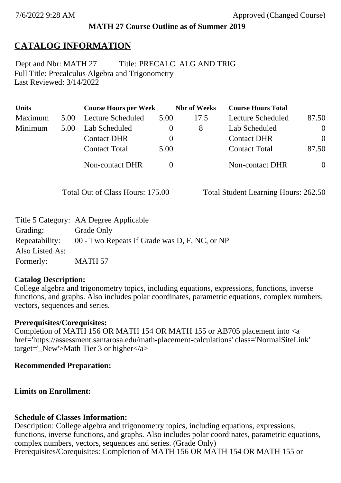## **MATH 27 Course Outline as of Summer 2019**

# **CATALOG INFORMATION**

Full Title: Precalculus Algebra and Trigonometry Last Reviewed: 3/14/2022 Dept and Nbr: MATH 27 Title: PRECALC ALG AND TRIG

| <b>Units</b> |      | <b>Course Hours per Week</b> |              | <b>Nbr</b> of Weeks | <b>Course Hours Total</b> |          |
|--------------|------|------------------------------|--------------|---------------------|---------------------------|----------|
| Maximum      | 5.00 | <b>Lecture Scheduled</b>     | 5.00         | 17.5                | Lecture Scheduled         | 87.50    |
| Minimum      | 5.00 | Lab Scheduled                | O            | 8                   | Lab Scheduled             | $\theta$ |
|              |      | <b>Contact DHR</b>           | $\theta$     |                     | <b>Contact DHR</b>        | $\Omega$ |
|              |      | <b>Contact Total</b>         | 5.00         |                     | <b>Contact Total</b>      | 87.50    |
|              |      | Non-contact DHR              | $\mathbf{0}$ |                     | <b>Non-contact DHR</b>    | $\theta$ |

Total Out of Class Hours: 175.00 Total Student Learning Hours: 262.50

|                 | Title 5 Category: AA Degree Applicable        |
|-----------------|-----------------------------------------------|
| Grading:        | Grade Only                                    |
| Repeatability:  | 00 - Two Repeats if Grade was D, F, NC, or NP |
| Also Listed As: |                                               |
| Formerly:       | MATH 57                                       |

## **Catalog Description:**

College algebra and trigonometry topics, including equations, expressions, functions, inverse functions, and graphs. Also includes polar coordinates, parametric equations, complex numbers, vectors, sequences and series.

### **Prerequisites/Corequisites:**

Completion of MATH 156 OR MATH 154 OR MATH 155 or AB705 placement into <a href='https://assessment.santarosa.edu/math-placement-calculations' class='NormalSiteLink' target=' New'>Math Tier 3 or higher $\langle x \rangle$ 

## **Recommended Preparation:**

## **Limits on Enrollment:**

## **Schedule of Classes Information:**

Description: College algebra and trigonometry topics, including equations, expressions, functions, inverse functions, and graphs. Also includes polar coordinates, parametric equations, complex numbers, vectors, sequences and series. (Grade Only) Prerequisites/Corequisites: Completion of MATH 156 OR MATH 154 OR MATH 155 or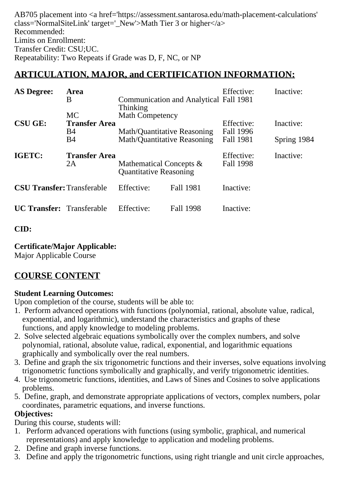AB705 placement into <a href='https://assessment.santarosa.edu/math-placement-calculations' class='NormalSiteLink' target=' New'>Math Tier 3 or higher $\langle a \rangle$ Recommended: Limits on Enrollment: Transfer Credit: CSU;UC. Repeatability: Two Repeats if Grade was D, F, NC, or NP

## **ARTICULATION, MAJOR, and CERTIFICATION INFORMATION:**

| <b>AS Degree:</b>                 | <b>Area</b><br>B                  | Thinking                                                   | <b>Communication and Analytical Fall 1981</b> | Effective:              | Inactive:   |
|-----------------------------------|-----------------------------------|------------------------------------------------------------|-----------------------------------------------|-------------------------|-------------|
| <b>CSU GE:</b>                    | <b>MC</b><br><b>Transfer Area</b> | <b>Math Competency</b>                                     |                                               | Effective:              | Inactive:   |
|                                   | <b>B</b> 4<br>B4                  | Math/Quantitative Reasoning<br>Math/Quantitative Reasoning |                                               | Fall 1996<br>Fall 1981  | Spring 1984 |
| IGETC:                            | <b>Transfer Area</b><br>2A        | Mathematical Concepts &<br><b>Quantitative Reasoning</b>   |                                               | Effective:<br>Fall 1998 | Inactive:   |
| <b>CSU Transfer: Transferable</b> |                                   | Effective:                                                 | <b>Fall 1981</b>                              | Inactive:               |             |
| <b>UC Transfer:</b> Transferable  |                                   | Effective:                                                 | Fall 1998                                     | Inactive:               |             |

### **CID:**

### **Certificate/Major Applicable:**

[Major Applicable Course](SR_ClassCheck.aspx?CourseKey=MATH27)

## **COURSE CONTENT**

### **Student Learning Outcomes:**

Upon completion of the course, students will be able to:

- 1. Perform advanced operations with functions (polynomial, rational, absolute value, radical, exponential, and logarithmic), understand the characteristics and graphs of these functions, and apply knowledge to modeling problems.
- 2. Solve selected algebraic equations symbolically over the complex numbers, and solve polynomial, rational, absolute value, radical, exponential, and logarithmic equations graphically and symbolically over the real numbers.
- 3. Define and graph the six trigonometric functions and their inverses, solve equations involving trigonometric functions symbolically and graphically, and verify trigonometric identities.
- 4. Use trigonometric functions, identities, and Laws of Sines and Cosines to solve applications problems.
- 5. Define, graph, and demonstrate appropriate applications of vectors, complex numbers, polar coordinates, parametric equations, and inverse functions.

### **Objectives:**

During this course, students will:

- 1. Perform advanced operations with functions (using symbolic, graphical, and numerical representations) and apply knowledge to application and modeling problems.
- 2. Define and graph inverse functions.
- 3. Define and apply the trigonometric functions, using right triangle and unit circle approaches,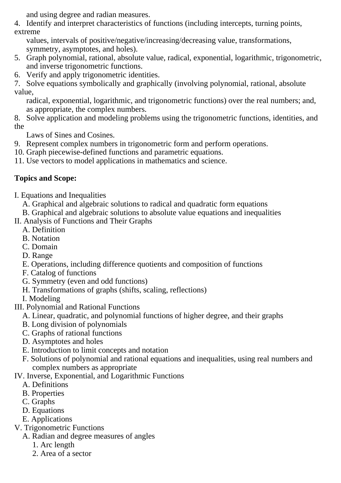and using degree and radian measures.

4. Identify and interpret characteristics of functions (including intercepts, turning points, extreme

 values, intervals of positive/negative/increasing/decreasing value, transformations, symmetry, asymptotes, and holes).

- 5. Graph polynomial, rational, absolute value, radical, exponential, logarithmic, trigonometric, and inverse trigonometric functions.
- 6. Verify and apply trigonometric identities.

7. Solve equations symbolically and graphically (involving polynomial, rational, absolute value,

 radical, exponential, logarithmic, and trigonometric functions) over the real numbers; and, as appropriate, the complex numbers.

8. Solve application and modeling problems using the trigonometric functions, identities, and the

Laws of Sines and Cosines.

- 9. Represent complex numbers in trigonometric form and perform operations.
- 10. Graph piecewise-defined functions and parametric equations.

11. Use vectors to model applications in mathematics and science.

## **Topics and Scope:**

I. Equations and Inequalities

A. Graphical and algebraic solutions to radical and quadratic form equations

B. Graphical and algebraic solutions to absolute value equations and inequalities

- II. Analysis of Functions and Their Graphs
	- A. Definition
	- B. Notation
	- C. Domain
	- D. Range
	- E. Operations, including difference quotients and composition of functions
	- F. Catalog of functions
	- G. Symmetry (even and odd functions)
	- H. Transformations of graphs (shifts, scaling, reflections)

I. Modeling

III. Polynomial and Rational Functions

- A. Linear, quadratic, and polynomial functions of higher degree, and their graphs
- B. Long division of polynomials
- C. Graphs of rational functions
- D. Asymptotes and holes
- E. Introduction to limit concepts and notation
- F. Solutions of polynomial and rational equations and inequalities, using real numbers and complex numbers as appropriate
- IV. Inverse, Exponential, and Logarithmic Functions
	- A. Definitions
	- B. Properties
	- C. Graphs
	- D. Equations
	- E. Applications
- V. Trigonometric Functions
	- A. Radian and degree measures of angles
		- 1. Arc length
		- 2. Area of a sector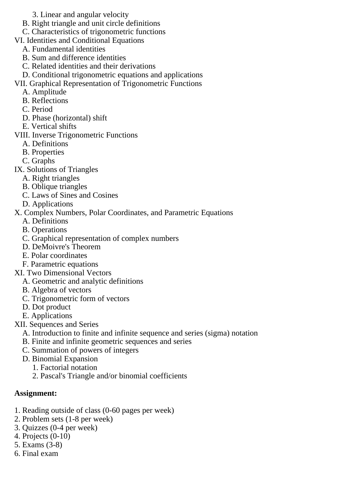- 3. Linear and angular velocity
- B. Right triangle and unit circle definitions
- C. Characteristics of trigonometric functions
- VI. Identities and Conditional Equations
	- A. Fundamental identities
	- B. Sum and difference identities
	- C. Related identities and their derivations
	- D. Conditional trigonometric equations and applications
- VII. Graphical Representation of Trigonometric Functions
	- A. Amplitude
	- B. Reflections
	- C. Period
	- D. Phase (horizontal) shift
	- E. Vertical shifts
- VIII. Inverse Trigonometric Functions
	- A. Definitions
	- B. Properties
	- C. Graphs
- IX. Solutions of Triangles
	- A. Right triangles
	- B. Oblique triangles
	- C. Laws of Sines and Cosines
	- D. Applications
- X. Complex Numbers, Polar Coordinates, and Parametric Equations
	- A. Definitions
	- B. Operations
	- C. Graphical representation of complex numbers
	- D. DeMoivre's Theorem
	- E. Polar coordinates
	- F. Parametric equations
- XI. Two Dimensional Vectors
	- A. Geometric and analytic definitions
	- B. Algebra of vectors
	- C. Trigonometric form of vectors
	- D. Dot product
	- E. Applications
- XII. Sequences and Series
	- A. Introduction to finite and infinite sequence and series (sigma) notation
	- B. Finite and infinite geometric sequences and series
	- C. Summation of powers of integers
	- D. Binomial Expansion
		- 1. Factorial notation
		- 2. Pascal's Triangle and/or binomial coefficients

### **Assignment:**

- 1. Reading outside of class (0-60 pages per week)
- 2. Problem sets (1-8 per week)
- 3. Quizzes (0-4 per week)
- 4. Projects (0-10)
- 5. Exams (3-8)
- 6. Final exam